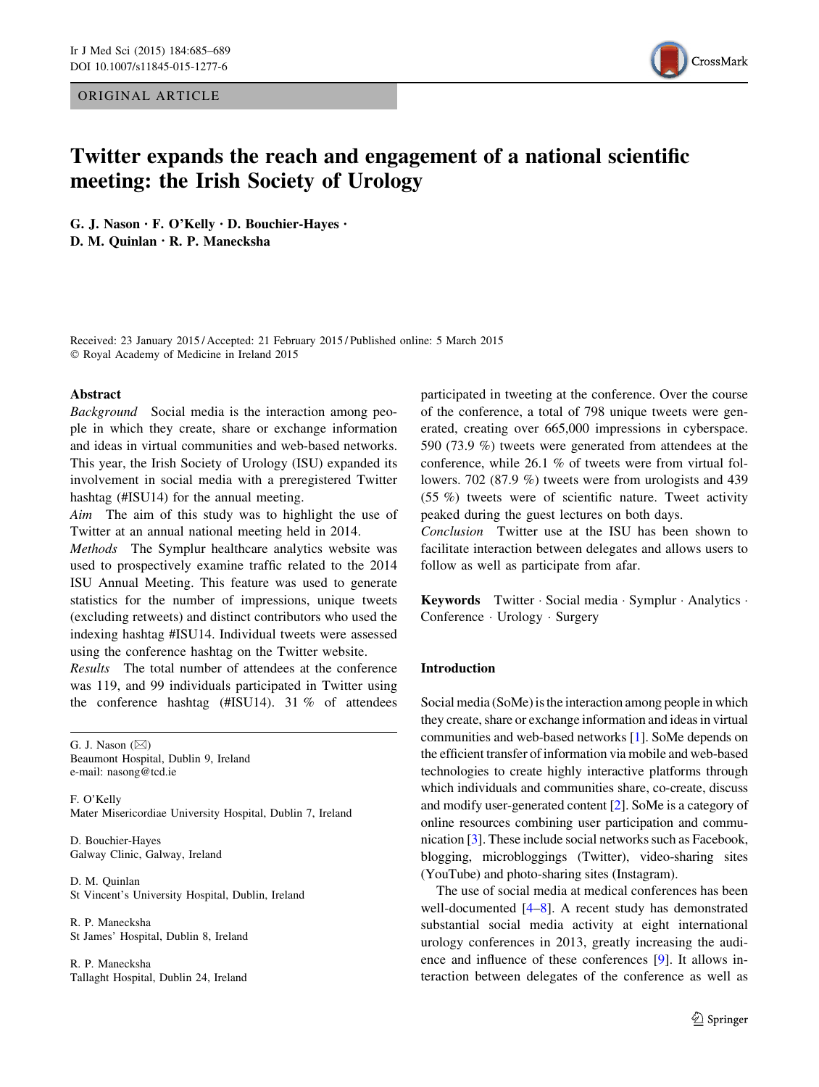ORIGINAL ARTICLE



# Twitter expands the reach and engagement of a national scientific meeting: the Irish Society of Urology

G. J. Nason • F. O'Kelly • D. Bouchier-Hayes • D. M. Quinlan • R. P. Manecksha

Received: 23 January 2015 / Accepted: 21 February 2015 / Published online: 5 March 2015 - Royal Academy of Medicine in Ireland 2015

#### Abstract

Background Social media is the interaction among people in which they create, share or exchange information and ideas in virtual communities and web-based networks. This year, the Irish Society of Urology (ISU) expanded its involvement in social media with a preregistered Twitter hashtag (#ISU14) for the annual meeting.

Aim The aim of this study was to highlight the use of Twitter at an annual national meeting held in 2014.

Methods The Symplur healthcare analytics website was used to prospectively examine traffic related to the 2014 ISU Annual Meeting. This feature was used to generate statistics for the number of impressions, unique tweets (excluding retweets) and distinct contributors who used the indexing hashtag #ISU14. Individual tweets were assessed using the conference hashtag on the Twitter website.

Results The total number of attendees at the conference was 119, and 99 individuals participated in Twitter using the conference hashtag (#ISU14). 31 % of attendees

G. J. Nason  $(\boxtimes)$ Beaumont Hospital, Dublin 9, Ireland e-mail: nasong@tcd.ie

F. O'Kelly Mater Misericordiae University Hospital, Dublin 7, Ireland

D. Bouchier-Hayes Galway Clinic, Galway, Ireland

D. M. Quinlan St Vincent's University Hospital, Dublin, Ireland

R. P. Manecksha St James' Hospital, Dublin 8, Ireland

R. P. Manecksha Tallaght Hospital, Dublin 24, Ireland participated in tweeting at the conference. Over the course of the conference, a total of 798 unique tweets were generated, creating over 665,000 impressions in cyberspace. 590 (73.9 %) tweets were generated from attendees at the conference, while 26.1 % of tweets were from virtual followers. 702 (87.9 %) tweets were from urologists and 439 (55 %) tweets were of scientific nature. Tweet activity peaked during the guest lectures on both days.

Conclusion Twitter use at the ISU has been shown to facilitate interaction between delegates and allows users to follow as well as participate from afar.

Keywords Twitter · Social media · Symplur · Analytics · Conference - Urology - Surgery

## Introduction

Social media (SoMe) is the interaction among people in which they create, share or exchange information and ideas in virtual communities and web-based networks [\[1](#page-4-0)]. SoMe depends on the efficient transfer of information via mobile and web-based technologies to create highly interactive platforms through which individuals and communities share, co-create, discuss and modify user-generated content [[2\]](#page-4-0). SoMe is a category of online resources combining user participation and communication [[3\]](#page-4-0). These include social networks such as Facebook, blogging, microbloggings (Twitter), video-sharing sites (YouTube) and photo-sharing sites (Instagram).

The use of social media at medical conferences has been well-documented [[4](#page-4-0)–[8\]](#page-4-0). A recent study has demonstrated substantial social media activity at eight international urology conferences in 2013, greatly increasing the audience and influence of these conferences [[9\]](#page-4-0). It allows interaction between delegates of the conference as well as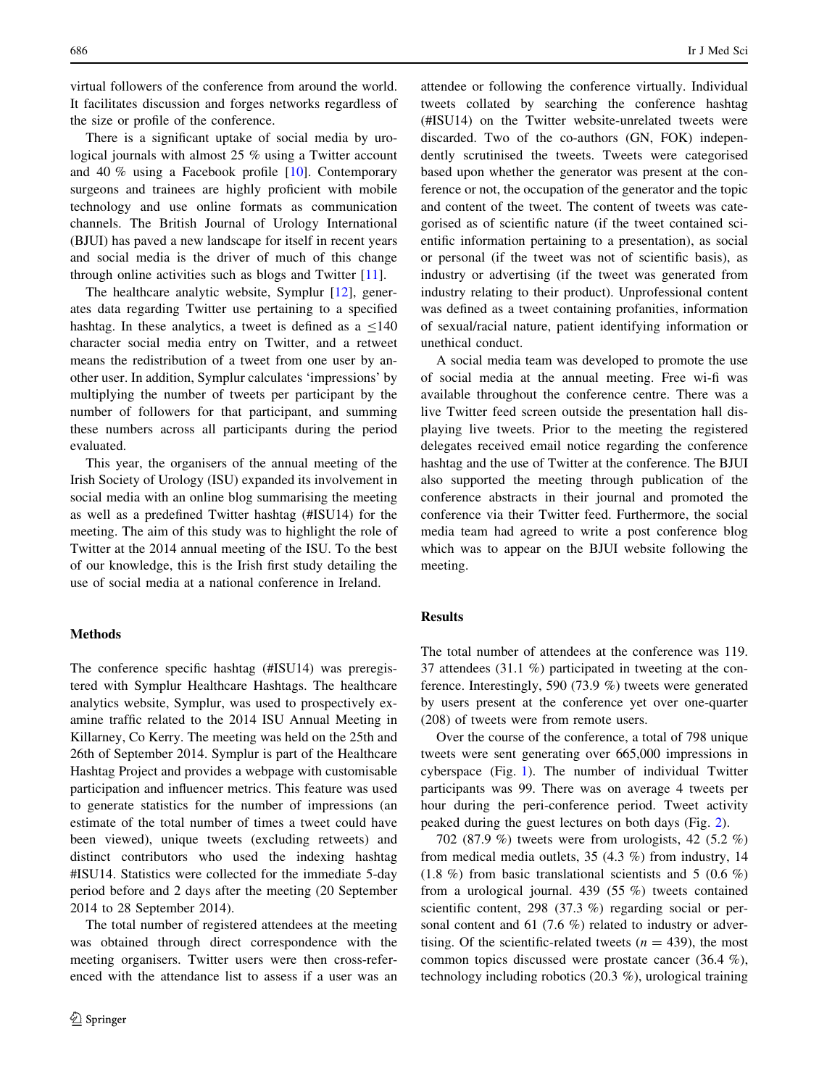virtual followers of the conference from around the world. It facilitates discussion and forges networks regardless of the size or profile of the conference.

There is a significant uptake of social media by urological journals with almost 25 % using a Twitter account and 40 % using a Facebook profile [[10\]](#page-4-0). Contemporary surgeons and trainees are highly proficient with mobile technology and use online formats as communication channels. The British Journal of Urology International (BJUI) has paved a new landscape for itself in recent years and social media is the driver of much of this change through online activities such as blogs and Twitter [[11\]](#page-4-0).

The healthcare analytic website, Symplur [\[12](#page-4-0)], generates data regarding Twitter use pertaining to a specified hashtag. In these analytics, a tweet is defined as a  $\leq 140$ character social media entry on Twitter, and a retweet means the redistribution of a tweet from one user by another user. In addition, Symplur calculates 'impressions' by multiplying the number of tweets per participant by the number of followers for that participant, and summing these numbers across all participants during the period evaluated.

This year, the organisers of the annual meeting of the Irish Society of Urology (ISU) expanded its involvement in social media with an online blog summarising the meeting as well as a predefined Twitter hashtag (#ISU14) for the meeting. The aim of this study was to highlight the role of Twitter at the 2014 annual meeting of the ISU. To the best of our knowledge, this is the Irish first study detailing the use of social media at a national conference in Ireland.

#### Methods

The conference specific hashtag (#ISU14) was preregistered with Symplur Healthcare Hashtags. The healthcare analytics website, Symplur, was used to prospectively examine traffic related to the 2014 ISU Annual Meeting in Killarney, Co Kerry. The meeting was held on the 25th and 26th of September 2014. Symplur is part of the Healthcare Hashtag Project and provides a webpage with customisable participation and influencer metrics. This feature was used to generate statistics for the number of impressions (an estimate of the total number of times a tweet could have been viewed), unique tweets (excluding retweets) and distinct contributors who used the indexing hashtag #ISU14. Statistics were collected for the immediate 5-day period before and 2 days after the meeting (20 September 2014 to 28 September 2014).

The total number of registered attendees at the meeting was obtained through direct correspondence with the meeting organisers. Twitter users were then cross-referenced with the attendance list to assess if a user was an attendee or following the conference virtually. Individual tweets collated by searching the conference hashtag (#ISU14) on the Twitter website-unrelated tweets were discarded. Two of the co-authors (GN, FOK) independently scrutinised the tweets. Tweets were categorised based upon whether the generator was present at the conference or not, the occupation of the generator and the topic and content of the tweet. The content of tweets was categorised as of scientific nature (if the tweet contained scientific information pertaining to a presentation), as social or personal (if the tweet was not of scientific basis), as industry or advertising (if the tweet was generated from industry relating to their product). Unprofessional content was defined as a tweet containing profanities, information of sexual/racial nature, patient identifying information or unethical conduct.

A social media team was developed to promote the use of social media at the annual meeting. Free wi-fi was available throughout the conference centre. There was a live Twitter feed screen outside the presentation hall displaying live tweets. Prior to the meeting the registered delegates received email notice regarding the conference hashtag and the use of Twitter at the conference. The BJUI also supported the meeting through publication of the conference abstracts in their journal and promoted the conference via their Twitter feed. Furthermore, the social media team had agreed to write a post conference blog which was to appear on the BJUI website following the meeting.

## Results

The total number of attendees at the conference was 119. 37 attendees (31.1 %) participated in tweeting at the conference. Interestingly, 590 (73.9 %) tweets were generated by users present at the conference yet over one-quarter (208) of tweets were from remote users.

Over the course of the conference, a total of 798 unique tweets were sent generating over 665,000 impressions in cyberspace (Fig. [1\)](#page-2-0). The number of individual Twitter participants was 99. There was on average 4 tweets per hour during the peri-conference period. Tweet activity peaked during the guest lectures on both days (Fig. [2](#page-2-0)).

702 (87.9 %) tweets were from urologists, 42 (5.2 %) from medical media outlets, 35 (4.3 %) from industry, 14 (1.8 %) from basic translational scientists and 5 (0.6 %) from a urological journal. 439 (55 %) tweets contained scientific content, 298 (37.3 %) regarding social or personal content and 61 (7.6 %) related to industry or advertising. Of the scientific-related tweets ( $n = 439$ ), the most common topics discussed were prostate cancer (36.4 %), technology including robotics (20.3 %), urological training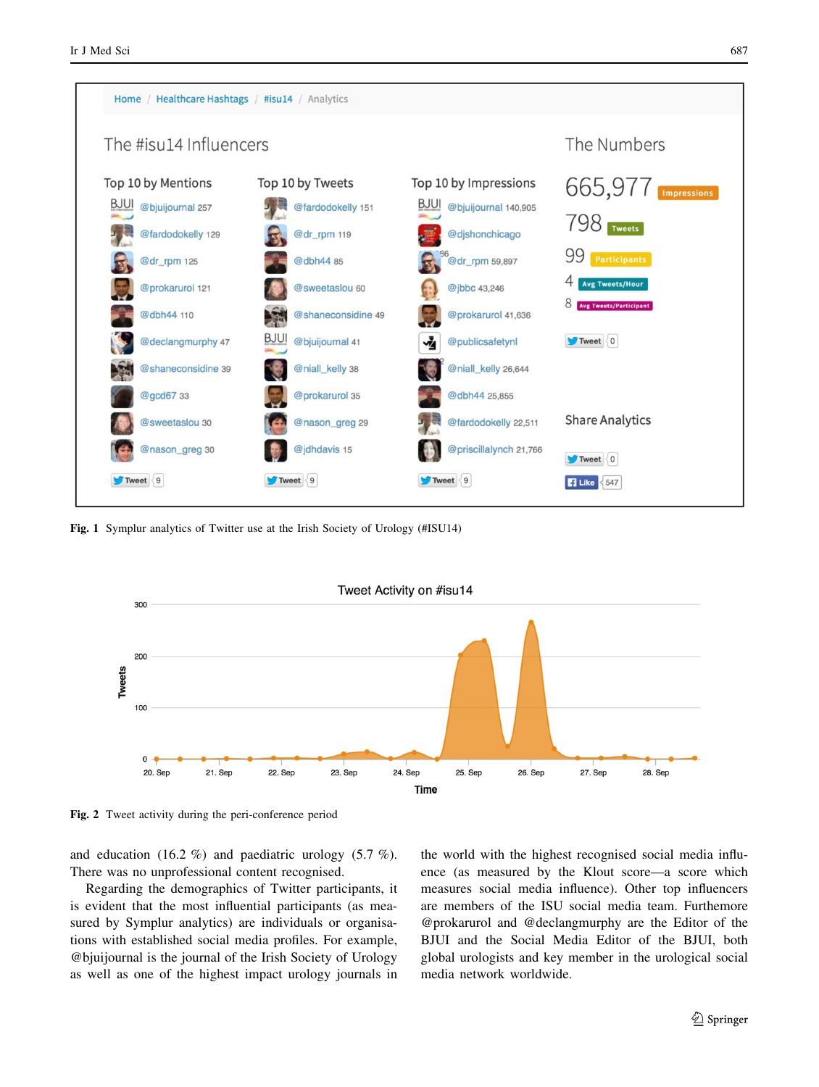<span id="page-2-0"></span>

Fig. 1 Symplur analytics of Twitter use at the Irish Society of Urology (#ISU14)



Fig. 2 Tweet activity during the peri-conference period

and education (16.2 %) and paediatric urology (5.7 %). There was no unprofessional content recognised.

Regarding the demographics of Twitter participants, it is evident that the most influential participants (as measured by Symplur analytics) are individuals or organisations with established social media profiles. For example, @bjuijournal is the journal of the Irish Society of Urology as well as one of the highest impact urology journals in the world with the highest recognised social media influence (as measured by the Klout score—a score which measures social media influence). Other top influencers are members of the ISU social media team. Furthemore @prokarurol and @declangmurphy are the Editor of the BJUI and the Social Media Editor of the BJUI, both global urologists and key member in the urological social media network worldwide.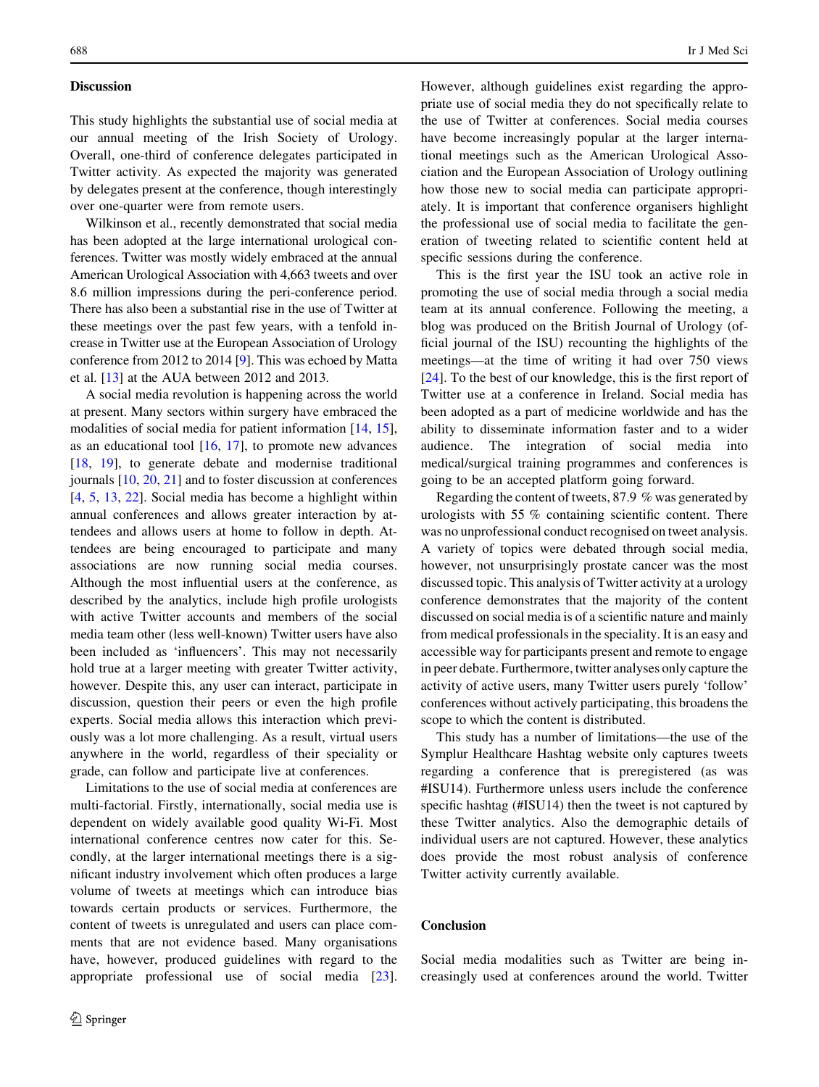## **Discussion**

This study highlights the substantial use of social media at our annual meeting of the Irish Society of Urology. Overall, one-third of conference delegates participated in Twitter activity. As expected the majority was generated by delegates present at the conference, though interestingly over one-quarter were from remote users.

Wilkinson et al., recently demonstrated that social media has been adopted at the large international urological conferences. Twitter was mostly widely embraced at the annual American Urological Association with 4,663 tweets and over 8.6 million impressions during the peri-conference period. There has also been a substantial rise in the use of Twitter at these meetings over the past few years, with a tenfold increase in Twitter use at the European Association of Urology conference from 2012 to 2014 [\[9](#page-4-0)]. This was echoed by Matta et al. [[13\]](#page-4-0) at the AUA between 2012 and 2013.

A social media revolution is happening across the world at present. Many sectors within surgery have embraced the modalities of social media for patient information [\[14](#page-4-0), [15](#page-4-0)], as an educational tool  $[16, 17]$  $[16, 17]$  $[16, 17]$  $[16, 17]$ , to promote new advances [\[18](#page-4-0), [19\]](#page-4-0), to generate debate and modernise traditional journals [\[10](#page-4-0), [20](#page-4-0), [21](#page-4-0)] and to foster discussion at conferences [\[4](#page-4-0), [5,](#page-4-0) [13,](#page-4-0) [22](#page-4-0)]. Social media has become a highlight within annual conferences and allows greater interaction by attendees and allows users at home to follow in depth. Attendees are being encouraged to participate and many associations are now running social media courses. Although the most influential users at the conference, as described by the analytics, include high profile urologists with active Twitter accounts and members of the social media team other (less well-known) Twitter users have also been included as 'influencers'. This may not necessarily hold true at a larger meeting with greater Twitter activity, however. Despite this, any user can interact, participate in discussion, question their peers or even the high profile experts. Social media allows this interaction which previously was a lot more challenging. As a result, virtual users anywhere in the world, regardless of their speciality or grade, can follow and participate live at conferences.

Limitations to the use of social media at conferences are multi-factorial. Firstly, internationally, social media use is dependent on widely available good quality Wi-Fi. Most international conference centres now cater for this. Secondly, at the larger international meetings there is a significant industry involvement which often produces a large volume of tweets at meetings which can introduce bias towards certain products or services. Furthermore, the content of tweets is unregulated and users can place comments that are not evidence based. Many organisations have, however, produced guidelines with regard to the appropriate professional use of social media [\[23](#page-4-0)].

However, although guidelines exist regarding the appropriate use of social media they do not specifically relate to the use of Twitter at conferences. Social media courses have become increasingly popular at the larger international meetings such as the American Urological Association and the European Association of Urology outlining how those new to social media can participate appropriately. It is important that conference organisers highlight the professional use of social media to facilitate the generation of tweeting related to scientific content held at specific sessions during the conference.

This is the first year the ISU took an active role in promoting the use of social media through a social media team at its annual conference. Following the meeting, a blog was produced on the British Journal of Urology (official journal of the ISU) recounting the highlights of the meetings—at the time of writing it had over 750 views [\[24](#page-4-0)]. To the best of our knowledge, this is the first report of Twitter use at a conference in Ireland. Social media has been adopted as a part of medicine worldwide and has the ability to disseminate information faster and to a wider audience. The integration of social media into medical/surgical training programmes and conferences is going to be an accepted platform going forward.

Regarding the content of tweets, 87.9 % was generated by urologists with 55 % containing scientific content. There was no unprofessional conduct recognised on tweet analysis. A variety of topics were debated through social media, however, not unsurprisingly prostate cancer was the most discussed topic. This analysis of Twitter activity at a urology conference demonstrates that the majority of the content discussed on social media is of a scientific nature and mainly from medical professionals in the speciality. It is an easy and accessible way for participants present and remote to engage in peer debate. Furthermore, twitter analyses only capture the activity of active users, many Twitter users purely 'follow' conferences without actively participating, this broadens the scope to which the content is distributed.

This study has a number of limitations—the use of the Symplur Healthcare Hashtag website only captures tweets regarding a conference that is preregistered (as was #ISU14). Furthermore unless users include the conference specific hashtag (#ISU14) then the tweet is not captured by these Twitter analytics. Also the demographic details of individual users are not captured. However, these analytics does provide the most robust analysis of conference Twitter activity currently available.

## Conclusion

Social media modalities such as Twitter are being increasingly used at conferences around the world. Twitter